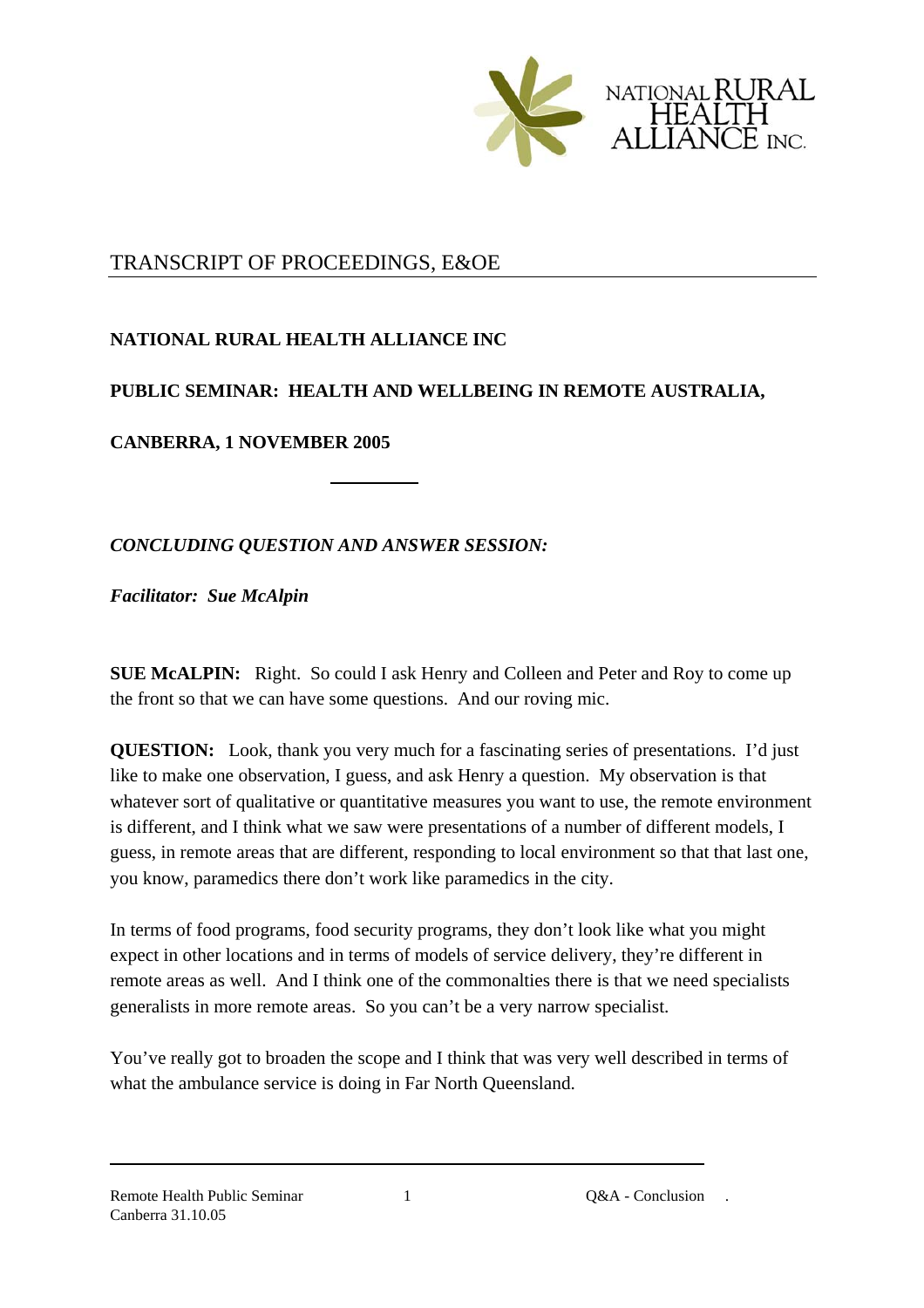

## TRANSCRIPT OF PROCEEDINGS, E&OE

## **NATIONAL RURAL HEALTH ALLIANCE INC**

## **PUBLIC SEMINAR: HEALTH AND WELLBEING IN REMOTE AUSTRALIA,**

**CANBERRA, 1 NOVEMBER 2005** 

*CONCLUDING QUESTION AND ANSWER SESSION:* 

*Facilitator: Sue McAlpin*

**SUE McALPIN:** Right. So could I ask Henry and Colleen and Peter and Roy to come up the front so that we can have some questions. And our roving mic.

**QUESTION:** Look, thank you very much for a fascinating series of presentations. I'd just like to make one observation, I guess, and ask Henry a question. My observation is that whatever sort of qualitative or quantitative measures you want to use, the remote environment is different, and I think what we saw were presentations of a number of different models, I guess, in remote areas that are different, responding to local environment so that that last one, you know, paramedics there don't work like paramedics in the city.

In terms of food programs, food security programs, they don't look like what you might expect in other locations and in terms of models of service delivery, they're different in remote areas as well. And I think one of the commonalties there is that we need specialists generalists in more remote areas. So you can't be a very narrow specialist.

You've really got to broaden the scope and I think that was very well described in terms of what the ambulance service is doing in Far North Oueensland.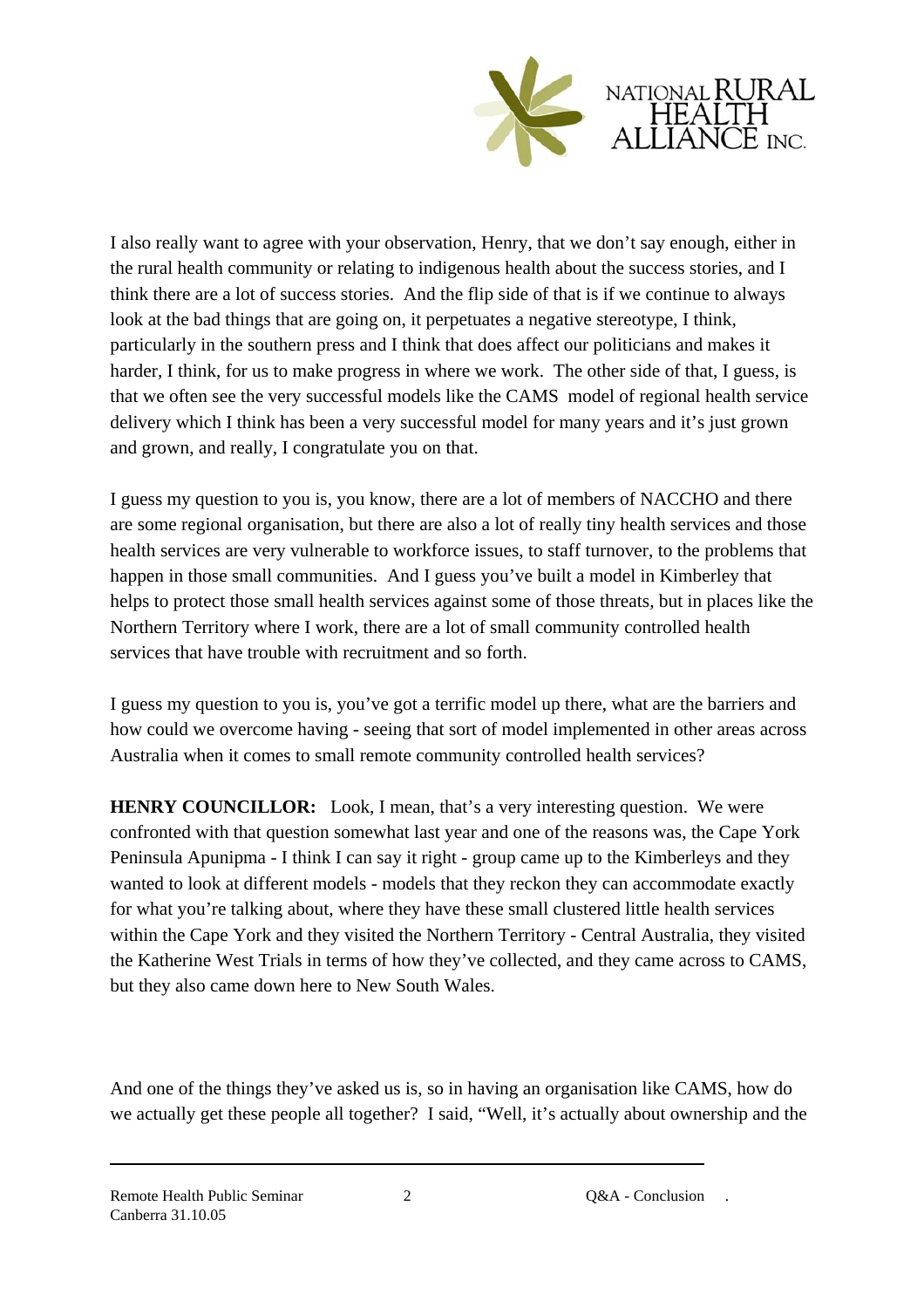

I also really want to agree with your observation, Henry, that we don't say enough, either in the rural health community or relating to indigenous health about the success stories, and I think there are a lot of success stories. And the flip side of that is if we continue to always look at the bad things that are going on, it perpetuates a negative stereotype, I think, particularly in the southern press and I think that does affect our politicians and makes it harder, I think, for us to make progress in where we work. The other side of that, I guess, is that we often see the very successful models like the CAMS model of regional health service delivery which I think has been a very successful model for many years and it's just grown and grown, and really, I congratulate you on that.

I guess my question to you is, you know, there are a lot of members of NACCHO and there are some regional organisation, but there are also a lot of really tiny health services and those health services are very vulnerable to workforce issues, to staff turnover, to the problems that happen in those small communities. And I guess you've built a model in Kimberley that helps to protect those small health services against some of those threats, but in places like the Northern Territory where I work, there are a lot of small community controlled health services that have trouble with recruitment and so forth.

I guess my question to you is, you've got a terrific model up there, what are the barriers and how could we overcome having - seeing that sort of model implemented in other areas across Australia when it comes to small remote community controlled health services?

**HENRY COUNCILLOR:** Look, I mean, that's a very interesting question. We were confronted with that question somewhat last year and one of the reasons was, the Cape York Peninsula Apunipma - I think I can say it right - group came up to the Kimberleys and they wanted to look at different models - models that they reckon they can accommodate exactly for what you're talking about, where they have these small clustered little health services within the Cape York and they visited the Northern Territory - Central Australia, they visited the Katherine West Trials in terms of how they've collected, and they came across to CAMS, but they also came down here to New South Wales.

And one of the things they've asked us is, so in having an organisation like CAMS, how do we actually get these people all together? I said, "Well, it's actually about ownership and the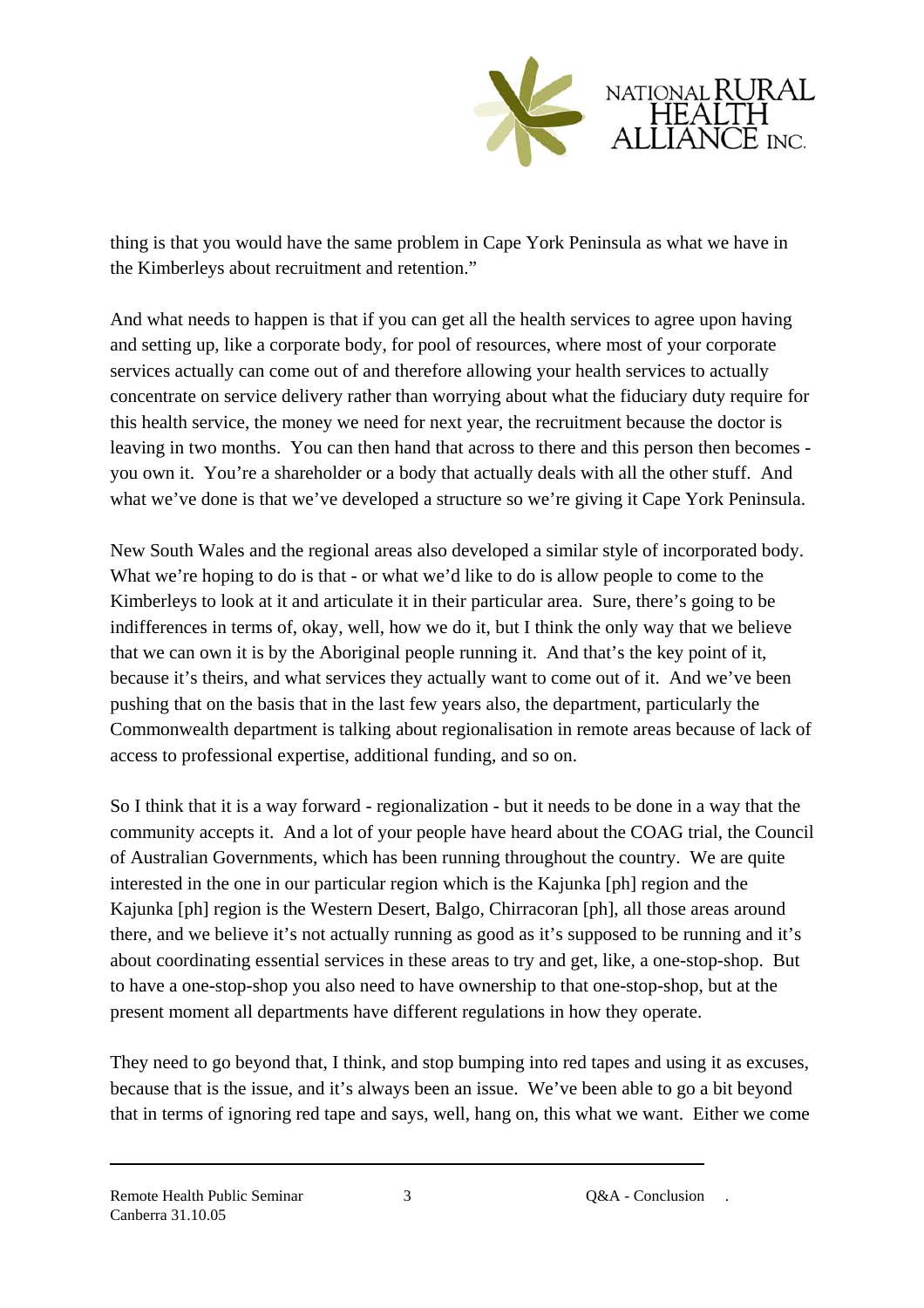

thing is that you would have the same problem in Cape York Peninsula as what we have in the Kimberleys about recruitment and retention."

And what needs to happen is that if you can get all the health services to agree upon having and setting up, like a corporate body, for pool of resources, where most of your corporate services actually can come out of and therefore allowing your health services to actually concentrate on service delivery rather than worrying about what the fiduciary duty require for this health service, the money we need for next year, the recruitment because the doctor is leaving in two months. You can then hand that across to there and this person then becomes you own it. You're a shareholder or a body that actually deals with all the other stuff. And what we've done is that we've developed a structure so we're giving it Cape York Peninsula.

New South Wales and the regional areas also developed a similar style of incorporated body. What we're hoping to do is that - or what we'd like to do is allow people to come to the Kimberleys to look at it and articulate it in their particular area. Sure, there's going to be indifferences in terms of, okay, well, how we do it, but I think the only way that we believe that we can own it is by the Aboriginal people running it. And that's the key point of it, because it's theirs, and what services they actually want to come out of it. And we've been pushing that on the basis that in the last few years also, the department, particularly the Commonwealth department is talking about regionalisation in remote areas because of lack of access to professional expertise, additional funding, and so on.

So I think that it is a way forward - regionalization - but it needs to be done in a way that the community accepts it. And a lot of your people have heard about the COAG trial, the Council of Australian Governments, which has been running throughout the country. We are quite interested in the one in our particular region which is the Kajunka [ph] region and the Kajunka [ph] region is the Western Desert, Balgo, Chirracoran [ph], all those areas around there, and we believe it's not actually running as good as it's supposed to be running and it's about coordinating essential services in these areas to try and get, like, a one-stop-shop. But to have a one-stop-shop you also need to have ownership to that one-stop-shop, but at the present moment all departments have different regulations in how they operate.

They need to go beyond that, I think, and stop bumping into red tapes and using it as excuses, because that is the issue, and it's always been an issue. We've been able to go a bit beyond that in terms of ignoring red tape and says, well, hang on, this what we want. Either we come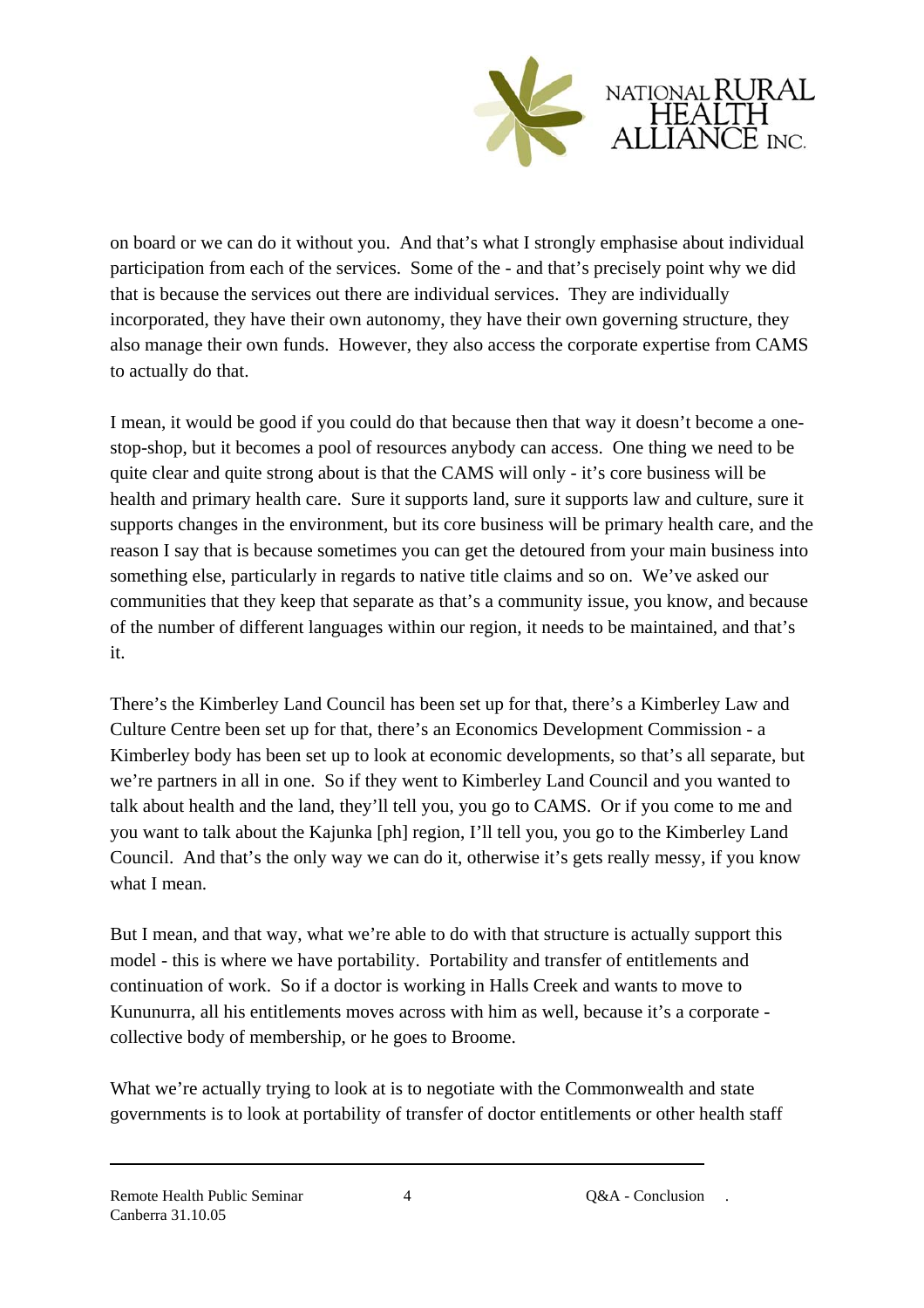

on board or we can do it without you. And that's what I strongly emphasise about individual participation from each of the services. Some of the - and that's precisely point why we did that is because the services out there are individual services. They are individually incorporated, they have their own autonomy, they have their own governing structure, they also manage their own funds. However, they also access the corporate expertise from CAMS to actually do that.

I mean, it would be good if you could do that because then that way it doesn't become a onestop-shop, but it becomes a pool of resources anybody can access. One thing we need to be quite clear and quite strong about is that the CAMS will only - it's core business will be health and primary health care. Sure it supports land, sure it supports law and culture, sure it supports changes in the environment, but its core business will be primary health care, and the reason I say that is because sometimes you can get the detoured from your main business into something else, particularly in regards to native title claims and so on. We've asked our communities that they keep that separate as that's a community issue, you know, and because of the number of different languages within our region, it needs to be maintained, and that's it.

There's the Kimberley Land Council has been set up for that, there's a Kimberley Law and Culture Centre been set up for that, there's an Economics Development Commission - a Kimberley body has been set up to look at economic developments, so that's all separate, but we're partners in all in one. So if they went to Kimberley Land Council and you wanted to talk about health and the land, they'll tell you, you go to CAMS. Or if you come to me and you want to talk about the Kajunka [ph] region, I'll tell you, you go to the Kimberley Land Council. And that's the only way we can do it, otherwise it's gets really messy, if you know what I mean.

But I mean, and that way, what we're able to do with that structure is actually support this model - this is where we have portability. Portability and transfer of entitlements and continuation of work. So if a doctor is working in Halls Creek and wants to move to Kununurra, all his entitlements moves across with him as well, because it's a corporate collective body of membership, or he goes to Broome.

What we're actually trying to look at is to negotiate with the Commonwealth and state governments is to look at portability of transfer of doctor entitlements or other health staff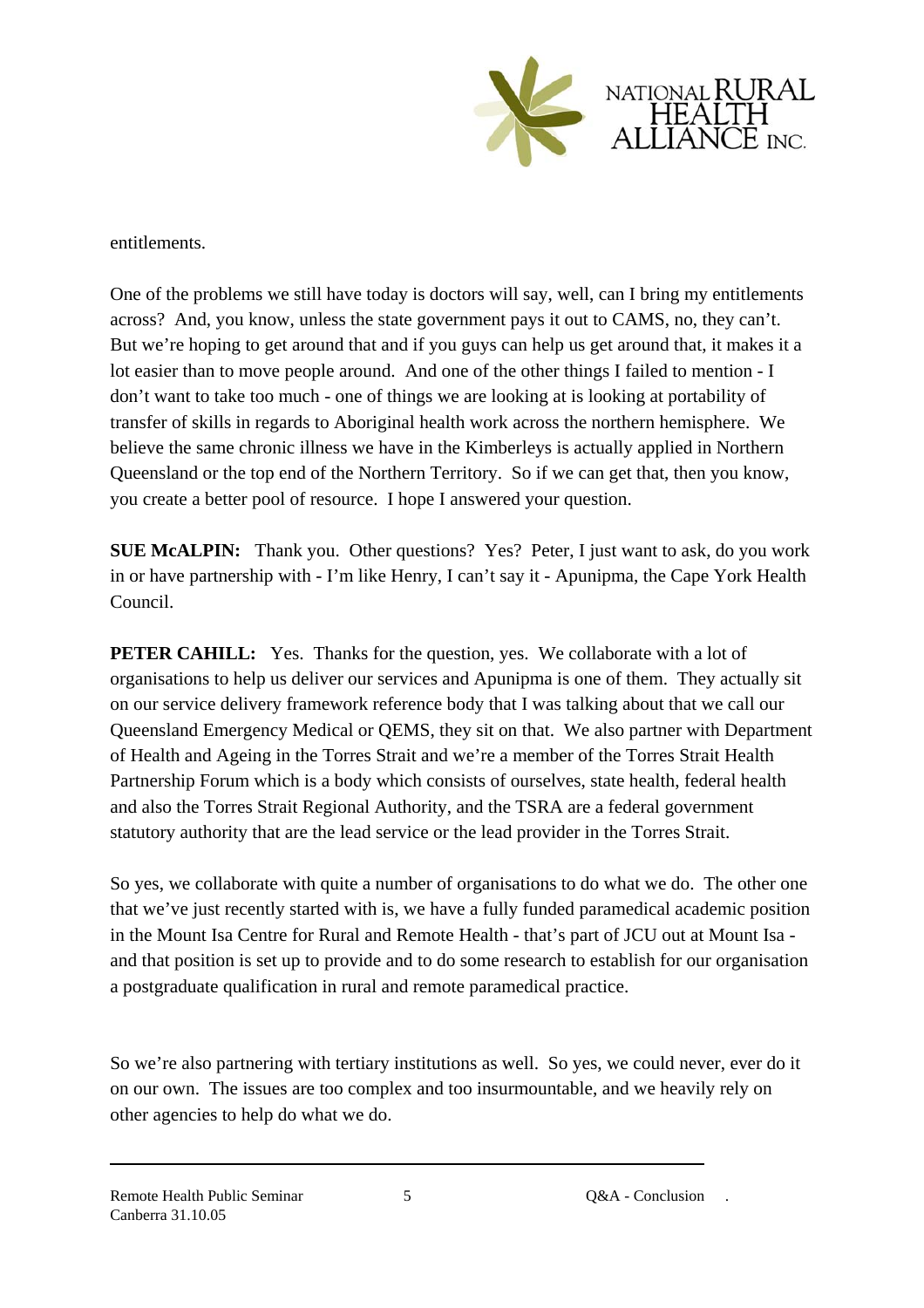

entitlements.

One of the problems we still have today is doctors will say, well, can I bring my entitlements across? And, you know, unless the state government pays it out to CAMS, no, they can't. But we're hoping to get around that and if you guys can help us get around that, it makes it a lot easier than to move people around. And one of the other things I failed to mention - I don't want to take too much - one of things we are looking at is looking at portability of transfer of skills in regards to Aboriginal health work across the northern hemisphere. We believe the same chronic illness we have in the Kimberleys is actually applied in Northern Queensland or the top end of the Northern Territory. So if we can get that, then you know, you create a better pool of resource. I hope I answered your question.

**SUE McALPIN:** Thank you. Other questions? Yes? Peter, I just want to ask, do you work in or have partnership with - I'm like Henry, I can't say it - Apunipma, the Cape York Health Council.

**PETER CAHILL:** Yes. Thanks for the question, yes. We collaborate with a lot of organisations to help us deliver our services and Apunipma is one of them. They actually sit on our service delivery framework reference body that I was talking about that we call our Queensland Emergency Medical or QEMS, they sit on that. We also partner with Department of Health and Ageing in the Torres Strait and we're a member of the Torres Strait Health Partnership Forum which is a body which consists of ourselves, state health, federal health and also the Torres Strait Regional Authority, and the TSRA are a federal government statutory authority that are the lead service or the lead provider in the Torres Strait.

So yes, we collaborate with quite a number of organisations to do what we do. The other one that we've just recently started with is, we have a fully funded paramedical academic position in the Mount Isa Centre for Rural and Remote Health - that's part of JCU out at Mount Isa and that position is set up to provide and to do some research to establish for our organisation a postgraduate qualification in rural and remote paramedical practice.

So we're also partnering with tertiary institutions as well. So yes, we could never, ever do it on our own. The issues are too complex and too insurmountable, and we heavily rely on other agencies to help do what we do.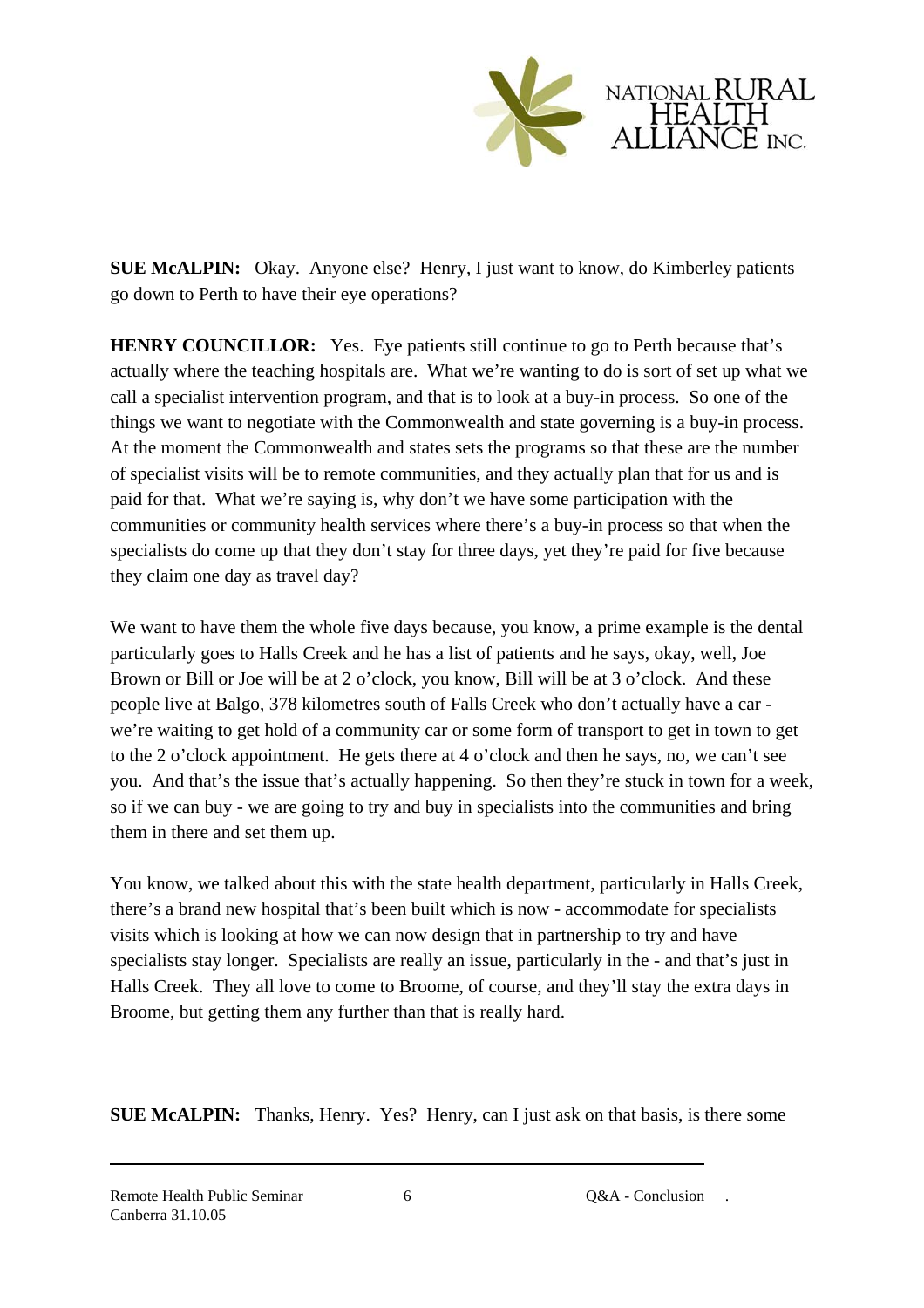

**SUE McALPIN:** Okay. Anyone else? Henry, I just want to know, do Kimberley patients go down to Perth to have their eye operations?

**HENRY COUNCILLOR:** Yes. Eye patients still continue to go to Perth because that's actually where the teaching hospitals are. What we're wanting to do is sort of set up what we call a specialist intervention program, and that is to look at a buy-in process. So one of the things we want to negotiate with the Commonwealth and state governing is a buy-in process. At the moment the Commonwealth and states sets the programs so that these are the number of specialist visits will be to remote communities, and they actually plan that for us and is paid for that. What we're saying is, why don't we have some participation with the communities or community health services where there's a buy-in process so that when the specialists do come up that they don't stay for three days, yet they're paid for five because they claim one day as travel day?

We want to have them the whole five days because, you know, a prime example is the dental particularly goes to Halls Creek and he has a list of patients and he says, okay, well, Joe Brown or Bill or Joe will be at 2 o'clock, you know, Bill will be at 3 o'clock. And these people live at Balgo, 378 kilometres south of Falls Creek who don't actually have a car we're waiting to get hold of a community car or some form of transport to get in town to get to the 2 o'clock appointment. He gets there at 4 o'clock and then he says, no, we can't see you. And that's the issue that's actually happening. So then they're stuck in town for a week, so if we can buy - we are going to try and buy in specialists into the communities and bring them in there and set them up.

You know, we talked about this with the state health department, particularly in Halls Creek, there's a brand new hospital that's been built which is now - accommodate for specialists visits which is looking at how we can now design that in partnership to try and have specialists stay longer. Specialists are really an issue, particularly in the - and that's just in Halls Creek. They all love to come to Broome, of course, and they'll stay the extra days in Broome, but getting them any further than that is really hard.

**SUE McALPIN:** Thanks, Henry. Yes? Henry, can I just ask on that basis, is there some